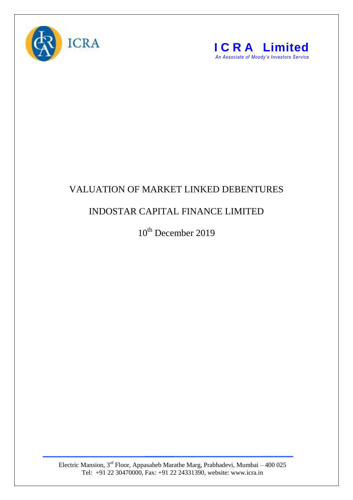



## VALUATION OF MARKET LINKED DEBENTURES

## INDOSTAR CAPITAL FINANCE LIMITED

10<sup>th</sup> December 2019

Electric Mansion,  $3<sup>rd</sup>$  Floor, Appasaheb Marathe Marg, Prabhadevi, Mumbai – 400 025 Tel: +91 22 30470000, Fax: +91 22 24331390, website: www.icra.in